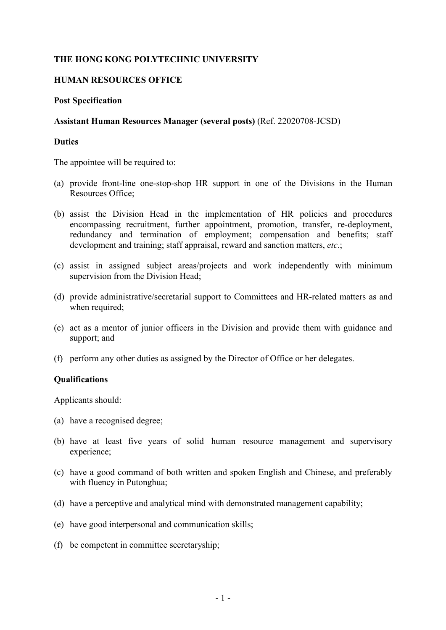# **THE HONG KONG POLYTECHNIC UNIVERSITY**

## **HUMAN RESOURCES OFFICE**

## **Post Specification**

## **Assistant Human Resources Manager (several posts)** (Ref. 22020708-JCSD)

#### **Duties**

The appointee will be required to:

- (a) provide front-line one-stop-shop HR support in one of the Divisions in the Human Resources Office;
- (b) assist the Division Head in the implementation of HR policies and procedures encompassing recruitment, further appointment, promotion, transfer, re-deployment, redundancy and termination of employment; compensation and benefits; staff development and training; staff appraisal, reward and sanction matters, *etc*.;
- (c) assist in assigned subject areas/projects and work independently with minimum supervision from the Division Head;
- (d) provide administrative/secretarial support to Committees and HR-related matters as and when required;
- (e) act as a mentor of junior officers in the Division and provide them with guidance and support; and
- (f) perform any other duties as assigned by the Director of Office or her delegates.

## **Qualifications**

Applicants should:

- (a) have a recognised degree;
- (b) have at least five years of solid human resource management and supervisory experience;
- (c) have a good command of both written and spoken English and Chinese, and preferably with fluency in Putonghua;
- (d) have a perceptive and analytical mind with demonstrated management capability;
- (e) have good interpersonal and communication skills;
- (f) be competent in committee secretaryship;